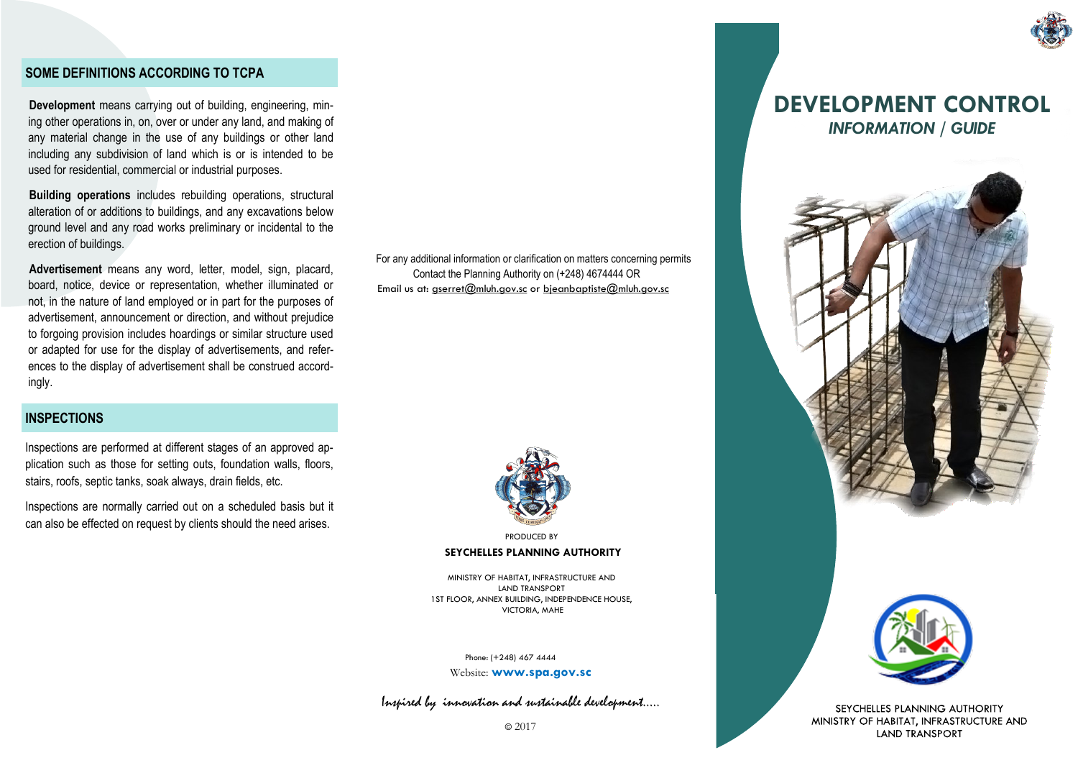#### **SOME DEFINITIONS ACCORDING TO TCPA**

**Development** means carrying out of building, engineering, mining other operations in, on, over or under any land, and making of any material change in the use of any buildings or other land including any subdivision of land which is or is intended to be used for residential, commercial or industrial purposes.

**Building operations** includes rebuilding operations, structural alteration of or additions to buildings, and any excavations below ground level and any road works preliminary or incidental to the erection of buildings.

**Advertisement** means any word, letter, model, sign, placard, board, notice, device or representation, whether illuminated or not, in the nature of land employed or in part for the purposes of advertisement, announcement or direction, and without prejudice to forgoing provision includes hoardings or similar structure used or adapted for use for the display of advertisements, and references to the display of advertisement shall be construed accordingly.

### **INSPECTIONS**

Inspections are performed at different stages of an approved application such as those for setting outs, foundation walls, floors, stairs, roofs, septic tanks, soak always, drain fields, etc.

Inspections are normally carried out on a scheduled basis but it can also be effected on request by clients should the need arises.

For any additional information or clarification on matters concerning permits Contact the Planning Authority on (+248) 4674444 OR Email us at: gserret@mluh.gov.sc or bieanbaptiste@mluh.gov.sc



**SEYCHELLES PLANNING AUTHORITY**  PRODUCED BY

MINISTRY OF HABITAT, INFRASTRUCTURE AND LAND TRANSPORT 1ST FLOOR, ANNEX BUILDING, INDEPENDENCE HOUSE, VICTORIA, MAHE

 Phone: (+248) 467 4444 Website: **www.spa.gov.sc**

Inspired by innovation and sustainable development…..

SEYCHELLES PLANNING AUTHORITY MINISTRY OF HABITAT, INFRASTRUCTURE AND **LAND TRANSPORT** 



# **DEVELOPMENT CONTROL** *INFORMATION / GUIDE*